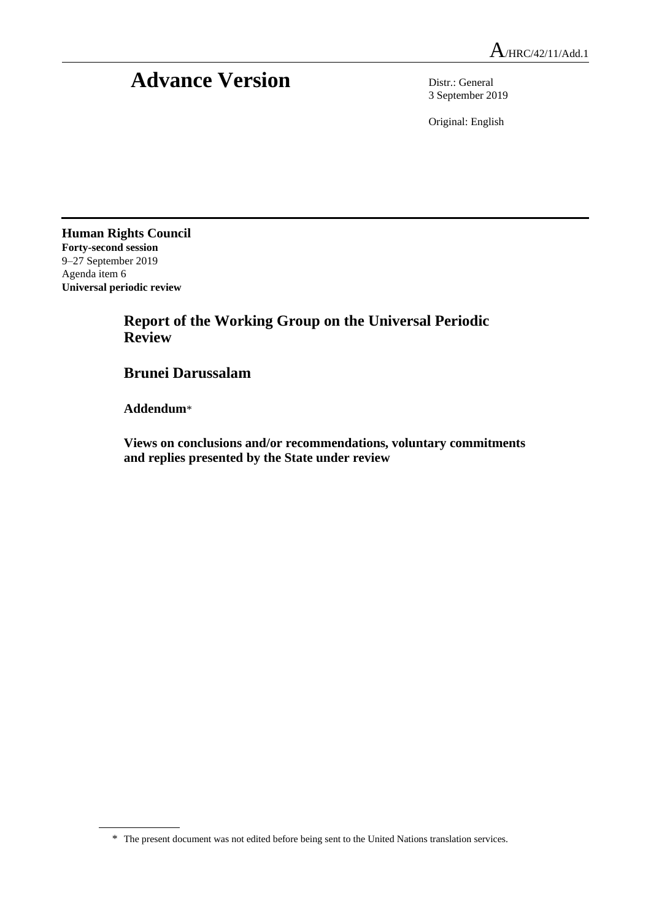## **Advance Version** Distr.: General

3 September 2019

Original: English

**Human Rights Council Forty-second session** 9–27 September 2019 Agenda item 6 **Universal periodic review**

## **Report of the Working Group on the Universal Periodic Review**

## **Brunei Darussalam**

**Addendum**\*

**Views on conclusions and/or recommendations, voluntary commitments and replies presented by the State under review**

<sup>\*</sup> The present document was not edited before being sent to the United Nations translation services.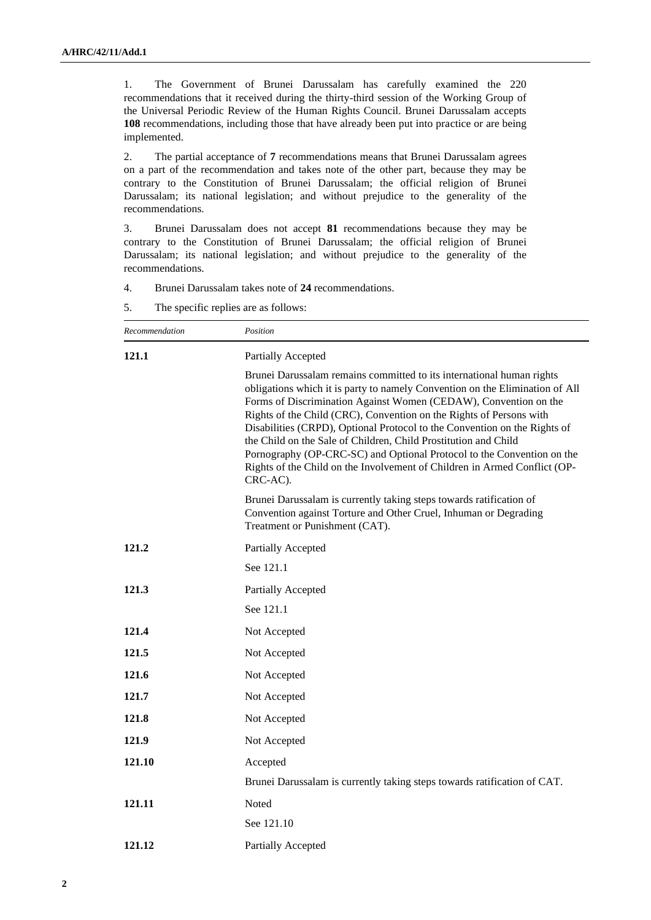1. The Government of Brunei Darussalam has carefully examined the 220 recommendations that it received during the thirty-third session of the Working Group of the Universal Periodic Review of the Human Rights Council. Brunei Darussalam accepts **108** recommendations, including those that have already been put into practice or are being implemented.

2. The partial acceptance of **7** recommendations means that Brunei Darussalam agrees on a part of the recommendation and takes note of the other part, because they may be contrary to the Constitution of Brunei Darussalam; the official religion of Brunei Darussalam; its national legislation; and without prejudice to the generality of the recommendations.

3. Brunei Darussalam does not accept **81** recommendations because they may be contrary to the Constitution of Brunei Darussalam; the official religion of Brunei Darussalam; its national legislation; and without prejudice to the generality of the recommendations.

4. Brunei Darussalam takes note of **24** recommendations.

5. The specific replies are as follows:

| Recommendation | Position                                                                                                                                                                                                                                                                                                                                                                                                                                                                                                                                                                                                            |
|----------------|---------------------------------------------------------------------------------------------------------------------------------------------------------------------------------------------------------------------------------------------------------------------------------------------------------------------------------------------------------------------------------------------------------------------------------------------------------------------------------------------------------------------------------------------------------------------------------------------------------------------|
| 121.1          | <b>Partially Accepted</b>                                                                                                                                                                                                                                                                                                                                                                                                                                                                                                                                                                                           |
|                | Brunei Darussalam remains committed to its international human rights<br>obligations which it is party to namely Convention on the Elimination of All<br>Forms of Discrimination Against Women (CEDAW), Convention on the<br>Rights of the Child (CRC), Convention on the Rights of Persons with<br>Disabilities (CRPD), Optional Protocol to the Convention on the Rights of<br>the Child on the Sale of Children, Child Prostitution and Child<br>Pornography (OP-CRC-SC) and Optional Protocol to the Convention on the<br>Rights of the Child on the Involvement of Children in Armed Conflict (OP-<br>CRC-AC). |
|                | Brunei Darussalam is currently taking steps towards ratification of<br>Convention against Torture and Other Cruel, Inhuman or Degrading<br>Treatment or Punishment (CAT).                                                                                                                                                                                                                                                                                                                                                                                                                                           |
| 121.2          | <b>Partially Accepted</b>                                                                                                                                                                                                                                                                                                                                                                                                                                                                                                                                                                                           |
|                | See 121.1                                                                                                                                                                                                                                                                                                                                                                                                                                                                                                                                                                                                           |
| 121.3          | Partially Accepted                                                                                                                                                                                                                                                                                                                                                                                                                                                                                                                                                                                                  |
|                | See 121.1                                                                                                                                                                                                                                                                                                                                                                                                                                                                                                                                                                                                           |
| 121.4          | Not Accepted                                                                                                                                                                                                                                                                                                                                                                                                                                                                                                                                                                                                        |
| 121.5          | Not Accepted                                                                                                                                                                                                                                                                                                                                                                                                                                                                                                                                                                                                        |
| 121.6          | Not Accepted                                                                                                                                                                                                                                                                                                                                                                                                                                                                                                                                                                                                        |
| 121.7          | Not Accepted                                                                                                                                                                                                                                                                                                                                                                                                                                                                                                                                                                                                        |
| 121.8          | Not Accepted                                                                                                                                                                                                                                                                                                                                                                                                                                                                                                                                                                                                        |
| 121.9          | Not Accepted                                                                                                                                                                                                                                                                                                                                                                                                                                                                                                                                                                                                        |
| 121.10         | Accepted                                                                                                                                                                                                                                                                                                                                                                                                                                                                                                                                                                                                            |
|                | Brunei Darussalam is currently taking steps towards ratification of CAT.                                                                                                                                                                                                                                                                                                                                                                                                                                                                                                                                            |
| 121.11         | Noted                                                                                                                                                                                                                                                                                                                                                                                                                                                                                                                                                                                                               |
|                | See 121.10                                                                                                                                                                                                                                                                                                                                                                                                                                                                                                                                                                                                          |
| 121.12         | Partially Accepted                                                                                                                                                                                                                                                                                                                                                                                                                                                                                                                                                                                                  |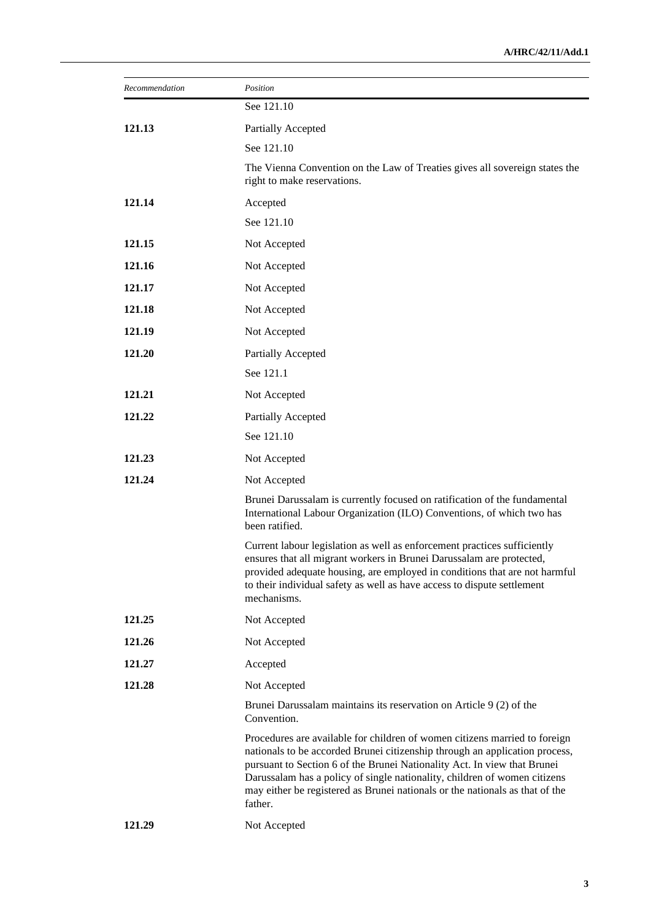| Recommendation | Position                                                                                                                                                                                                                                                                                                                                                                                                      |
|----------------|---------------------------------------------------------------------------------------------------------------------------------------------------------------------------------------------------------------------------------------------------------------------------------------------------------------------------------------------------------------------------------------------------------------|
|                | See 121.10                                                                                                                                                                                                                                                                                                                                                                                                    |
| 121.13         | Partially Accepted                                                                                                                                                                                                                                                                                                                                                                                            |
|                | See 121.10                                                                                                                                                                                                                                                                                                                                                                                                    |
|                | The Vienna Convention on the Law of Treaties gives all sovereign states the<br>right to make reservations.                                                                                                                                                                                                                                                                                                    |
| 121.14         | Accepted                                                                                                                                                                                                                                                                                                                                                                                                      |
|                | See 121.10                                                                                                                                                                                                                                                                                                                                                                                                    |
| 121.15         | Not Accepted                                                                                                                                                                                                                                                                                                                                                                                                  |
| 121.16         | Not Accepted                                                                                                                                                                                                                                                                                                                                                                                                  |
| 121.17         | Not Accepted                                                                                                                                                                                                                                                                                                                                                                                                  |
| 121.18         | Not Accepted                                                                                                                                                                                                                                                                                                                                                                                                  |
| 121.19         | Not Accepted                                                                                                                                                                                                                                                                                                                                                                                                  |
| 121.20         | Partially Accepted                                                                                                                                                                                                                                                                                                                                                                                            |
|                | See 121.1                                                                                                                                                                                                                                                                                                                                                                                                     |
| 121.21         | Not Accepted                                                                                                                                                                                                                                                                                                                                                                                                  |
| 121.22         | Partially Accepted                                                                                                                                                                                                                                                                                                                                                                                            |
|                | See 121.10                                                                                                                                                                                                                                                                                                                                                                                                    |
| 121.23         | Not Accepted                                                                                                                                                                                                                                                                                                                                                                                                  |
| 121.24         | Not Accepted                                                                                                                                                                                                                                                                                                                                                                                                  |
|                | Brunei Darussalam is currently focused on ratification of the fundamental<br>International Labour Organization (ILO) Conventions, of which two has<br>been ratified.                                                                                                                                                                                                                                          |
|                | Current labour legislation as well as enforcement practices sufficiently<br>ensures that all migrant workers in Brunei Darussalam are protected,<br>provided adequate housing, are employed in conditions that are not harmful<br>to their individual safety as well as have access to dispute settlement<br>mechanisms.                                                                                      |
| 121.25         | Not Accepted                                                                                                                                                                                                                                                                                                                                                                                                  |
| 121.26         | Not Accepted                                                                                                                                                                                                                                                                                                                                                                                                  |
| 121.27         | Accepted                                                                                                                                                                                                                                                                                                                                                                                                      |
| 121.28         | Not Accepted                                                                                                                                                                                                                                                                                                                                                                                                  |
|                | Brunei Darussalam maintains its reservation on Article 9 (2) of the<br>Convention.                                                                                                                                                                                                                                                                                                                            |
|                | Procedures are available for children of women citizens married to foreign<br>nationals to be accorded Brunei citizenship through an application process,<br>pursuant to Section 6 of the Brunei Nationality Act. In view that Brunei<br>Darussalam has a policy of single nationality, children of women citizens<br>may either be registered as Brunei nationals or the nationals as that of the<br>father. |
| 121.29         | Not Accepted                                                                                                                                                                                                                                                                                                                                                                                                  |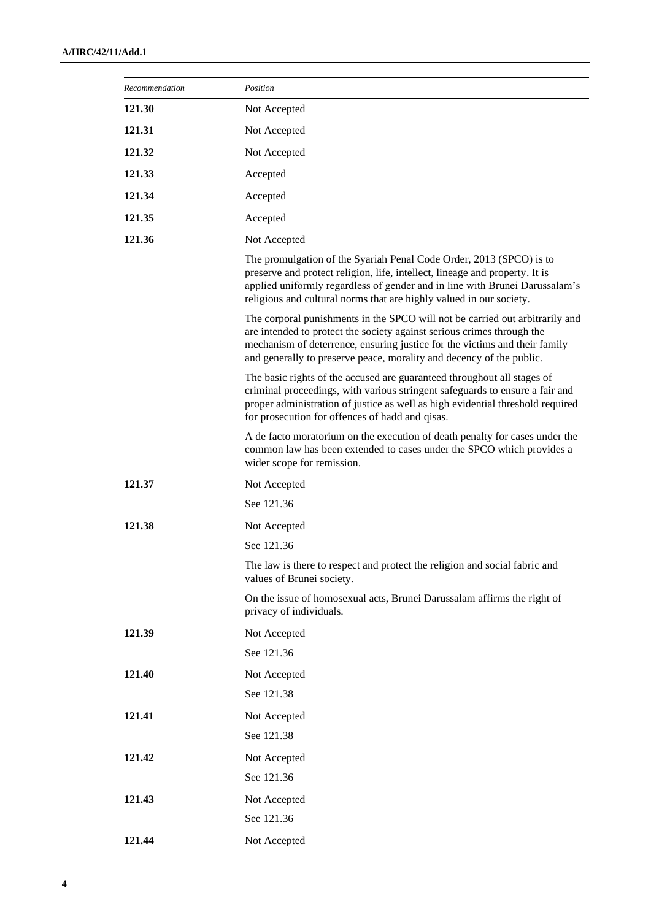| Recommendation | Position                                                                                                                                                                                                                                                                                                     |
|----------------|--------------------------------------------------------------------------------------------------------------------------------------------------------------------------------------------------------------------------------------------------------------------------------------------------------------|
| 121.30         | Not Accepted                                                                                                                                                                                                                                                                                                 |
| 121.31         | Not Accepted                                                                                                                                                                                                                                                                                                 |
| 121.32         | Not Accepted                                                                                                                                                                                                                                                                                                 |
| 121.33         | Accepted                                                                                                                                                                                                                                                                                                     |
| 121.34         | Accepted                                                                                                                                                                                                                                                                                                     |
| 121.35         | Accepted                                                                                                                                                                                                                                                                                                     |
| 121.36         | Not Accepted                                                                                                                                                                                                                                                                                                 |
|                | The promulgation of the Syariah Penal Code Order, 2013 (SPCO) is to<br>preserve and protect religion, life, intellect, lineage and property. It is<br>applied uniformly regardless of gender and in line with Brunei Darussalam's<br>religious and cultural norms that are highly valued in our society.     |
|                | The corporal punishments in the SPCO will not be carried out arbitrarily and<br>are intended to protect the society against serious crimes through the<br>mechanism of deterrence, ensuring justice for the victims and their family<br>and generally to preserve peace, morality and decency of the public. |
|                | The basic rights of the accused are guaranteed throughout all stages of<br>criminal proceedings, with various stringent safeguards to ensure a fair and<br>proper administration of justice as well as high evidential threshold required<br>for prosecution for offences of hadd and qisas.                 |
|                | A de facto moratorium on the execution of death penalty for cases under the<br>common law has been extended to cases under the SPCO which provides a<br>wider scope for remission.                                                                                                                           |
| 121.37         | Not Accepted                                                                                                                                                                                                                                                                                                 |
|                | See 121.36                                                                                                                                                                                                                                                                                                   |
| 121.38         | Not Accepted                                                                                                                                                                                                                                                                                                 |
|                | See 121.36                                                                                                                                                                                                                                                                                                   |
|                | The law is there to respect and protect the religion and social fabric and<br>values of Brunei society.                                                                                                                                                                                                      |
|                | On the issue of homosexual acts, Brunei Darussalam affirms the right of<br>privacy of individuals.                                                                                                                                                                                                           |
| 121.39         | Not Accepted                                                                                                                                                                                                                                                                                                 |
|                | See 121.36                                                                                                                                                                                                                                                                                                   |
| 121.40         | Not Accepted                                                                                                                                                                                                                                                                                                 |
|                | See 121.38                                                                                                                                                                                                                                                                                                   |
| 121.41         | Not Accepted                                                                                                                                                                                                                                                                                                 |
|                | See 121.38                                                                                                                                                                                                                                                                                                   |
| 121.42         | Not Accepted                                                                                                                                                                                                                                                                                                 |
|                | See 121.36                                                                                                                                                                                                                                                                                                   |
| 121.43         | Not Accepted                                                                                                                                                                                                                                                                                                 |
|                | See 121.36                                                                                                                                                                                                                                                                                                   |
| 121.44         | Not Accepted                                                                                                                                                                                                                                                                                                 |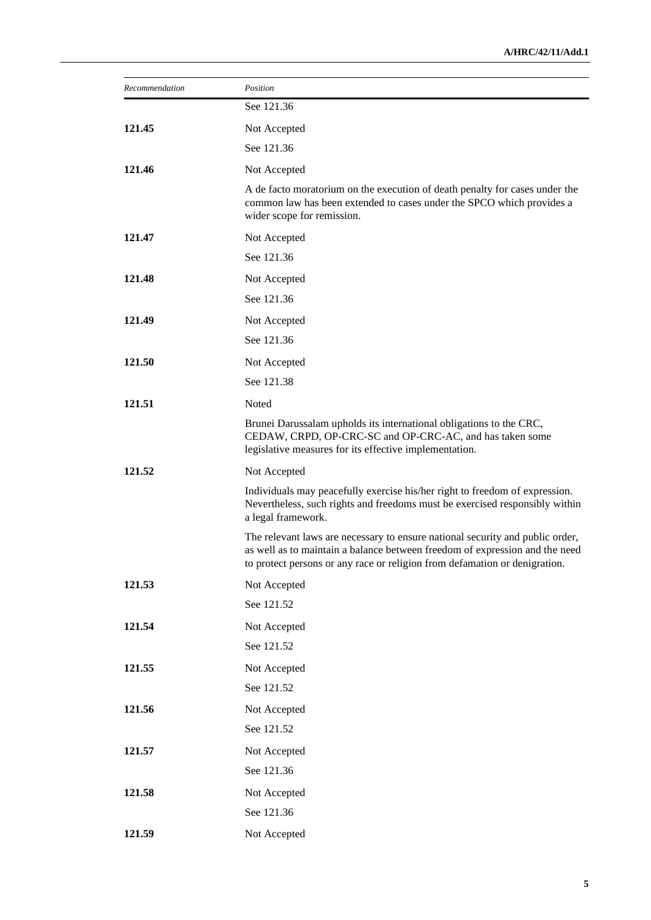| Recommendation | Position                                                                                                                                                                                                                                   |
|----------------|--------------------------------------------------------------------------------------------------------------------------------------------------------------------------------------------------------------------------------------------|
|                | See 121.36                                                                                                                                                                                                                                 |
| 121.45         | Not Accepted                                                                                                                                                                                                                               |
|                | See 121.36                                                                                                                                                                                                                                 |
| 121.46         | Not Accepted                                                                                                                                                                                                                               |
|                | A de facto moratorium on the execution of death penalty for cases under the<br>common law has been extended to cases under the SPCO which provides a<br>wider scope for remission.                                                         |
| 121.47         | Not Accepted                                                                                                                                                                                                                               |
|                | See 121.36                                                                                                                                                                                                                                 |
| 121.48         | Not Accepted                                                                                                                                                                                                                               |
|                | See 121.36                                                                                                                                                                                                                                 |
| 121.49         | Not Accepted                                                                                                                                                                                                                               |
|                | See 121.36                                                                                                                                                                                                                                 |
| 121.50         | Not Accepted                                                                                                                                                                                                                               |
|                | See 121.38                                                                                                                                                                                                                                 |
| 121.51         | Noted                                                                                                                                                                                                                                      |
|                | Brunei Darussalam upholds its international obligations to the CRC,<br>CEDAW, CRPD, OP-CRC-SC and OP-CRC-AC, and has taken some<br>legislative measures for its effective implementation.                                                  |
| 121.52         | Not Accepted                                                                                                                                                                                                                               |
|                | Individuals may peacefully exercise his/her right to freedom of expression.<br>Nevertheless, such rights and freedoms must be exercised responsibly within<br>a legal framework.                                                           |
|                | The relevant laws are necessary to ensure national security and public order,<br>as well as to maintain a balance between freedom of expression and the need<br>to protect persons or any race or religion from defamation or denigration. |
| 121.53         | Not Accepted                                                                                                                                                                                                                               |
|                | See 121.52                                                                                                                                                                                                                                 |
| 121.54         | Not Accepted                                                                                                                                                                                                                               |
|                | See 121.52                                                                                                                                                                                                                                 |
| 121.55         | Not Accepted                                                                                                                                                                                                                               |
|                | See 121.52                                                                                                                                                                                                                                 |
| 121.56         | Not Accepted                                                                                                                                                                                                                               |
|                | See 121.52                                                                                                                                                                                                                                 |
| 121.57         | Not Accepted                                                                                                                                                                                                                               |
|                | See 121.36                                                                                                                                                                                                                                 |
| 121.58         | Not Accepted                                                                                                                                                                                                                               |
|                | See 121.36                                                                                                                                                                                                                                 |
| 121.59         | Not Accepted                                                                                                                                                                                                                               |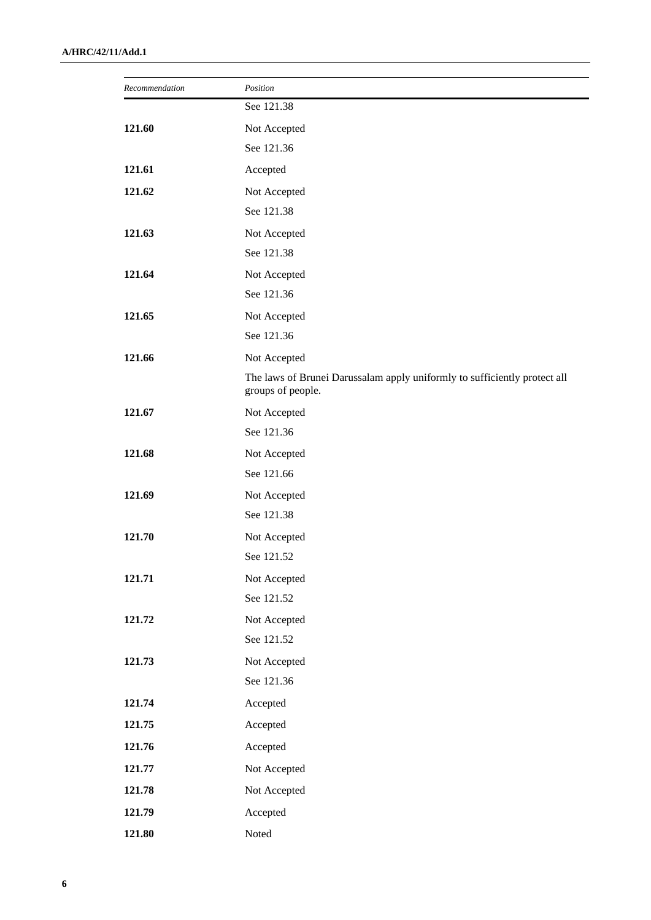| Recommendation | Position                                                                                       |
|----------------|------------------------------------------------------------------------------------------------|
|                | See 121.38                                                                                     |
| 121.60         | Not Accepted                                                                                   |
|                | See 121.36                                                                                     |
| 121.61         | Accepted                                                                                       |
| 121.62         | Not Accepted                                                                                   |
|                | See 121.38                                                                                     |
| 121.63         | Not Accepted                                                                                   |
|                | See 121.38                                                                                     |
| 121.64         | Not Accepted                                                                                   |
|                | See 121.36                                                                                     |
| 121.65         | Not Accepted                                                                                   |
|                | See 121.36                                                                                     |
| 121.66         | Not Accepted                                                                                   |
|                | The laws of Brunei Darussalam apply uniformly to sufficiently protect all<br>groups of people. |
| 121.67         | Not Accepted                                                                                   |
|                | See 121.36                                                                                     |
| 121.68         | Not Accepted                                                                                   |
|                | See 121.66                                                                                     |
| 121.69         | Not Accepted                                                                                   |
|                | See 121.38                                                                                     |
| 121.70         | Not Accepted                                                                                   |
|                | See 121.52                                                                                     |
| 121.71         | Not Accepted                                                                                   |
|                | See 121.52                                                                                     |
| 121.72         | Not Accepted                                                                                   |
|                | See 121.52                                                                                     |
| 121.73         | Not Accepted                                                                                   |
|                | See 121.36                                                                                     |
| 121.74         | Accepted                                                                                       |
| 121.75         | Accepted                                                                                       |
| 121.76         | Accepted                                                                                       |
| 121.77         | Not Accepted                                                                                   |
| 121.78         | Not Accepted                                                                                   |
| 121.79         | Accepted                                                                                       |
| 121.80         | Noted                                                                                          |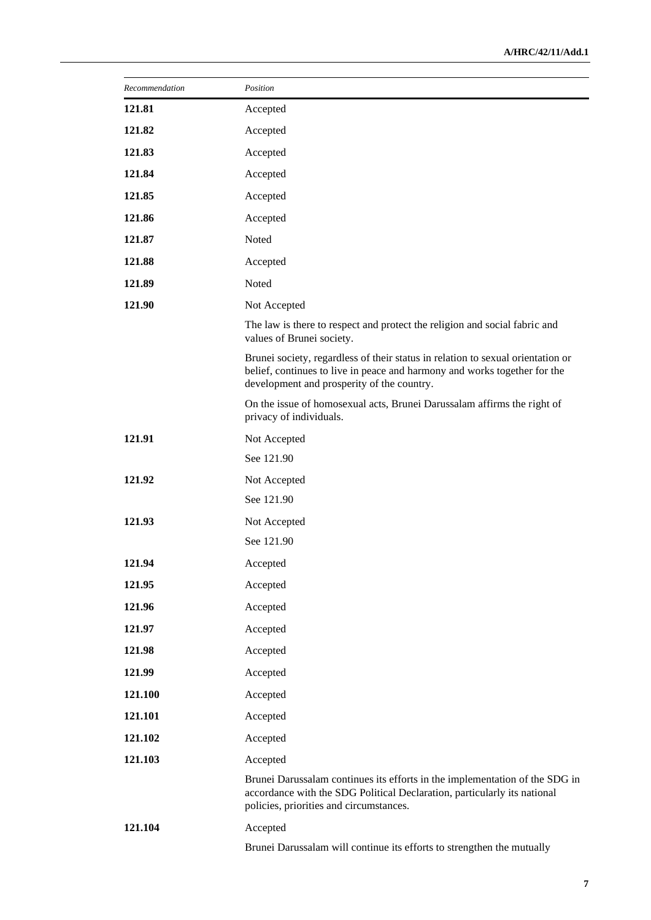| Recommendation | Position                                                                                                                                                                                                   |
|----------------|------------------------------------------------------------------------------------------------------------------------------------------------------------------------------------------------------------|
| 121.81         | Accepted                                                                                                                                                                                                   |
| 121.82         | Accepted                                                                                                                                                                                                   |
| 121.83         | Accepted                                                                                                                                                                                                   |
| 121.84         | Accepted                                                                                                                                                                                                   |
| 121.85         | Accepted                                                                                                                                                                                                   |
| 121.86         | Accepted                                                                                                                                                                                                   |
| 121.87         | Noted                                                                                                                                                                                                      |
| 121.88         | Accepted                                                                                                                                                                                                   |
| 121.89         | Noted                                                                                                                                                                                                      |
| 121.90         | Not Accepted                                                                                                                                                                                               |
|                | The law is there to respect and protect the religion and social fabric and<br>values of Brunei society.                                                                                                    |
|                | Brunei society, regardless of their status in relation to sexual orientation or<br>belief, continues to live in peace and harmony and works together for the<br>development and prosperity of the country. |
|                | On the issue of homosexual acts, Brunei Darussalam affirms the right of<br>privacy of individuals.                                                                                                         |
| 121.91         | Not Accepted                                                                                                                                                                                               |
|                | See 121.90                                                                                                                                                                                                 |
| 121.92         | Not Accepted                                                                                                                                                                                               |
|                | See 121.90                                                                                                                                                                                                 |
| 121.93         | Not Accepted                                                                                                                                                                                               |
|                | See 121.90                                                                                                                                                                                                 |
| 121.94         | Accepted                                                                                                                                                                                                   |
| 121.95         | Accepted                                                                                                                                                                                                   |
| 121.96         | Accepted                                                                                                                                                                                                   |
| 121.97         | Accepted                                                                                                                                                                                                   |
| 121.98         | Accepted                                                                                                                                                                                                   |
| 121.99         | Accepted                                                                                                                                                                                                   |
| 121.100        | Accepted                                                                                                                                                                                                   |
| 121.101        | Accepted                                                                                                                                                                                                   |
| 121.102        | Accepted                                                                                                                                                                                                   |
| 121.103        | Accepted                                                                                                                                                                                                   |
|                | Brunei Darussalam continues its efforts in the implementation of the SDG in<br>accordance with the SDG Political Declaration, particularly its national<br>policies, priorities and circumstances.         |
| 121.104        | Accepted                                                                                                                                                                                                   |
|                | Brunei Darussalam will continue its efforts to strengthen the mutually                                                                                                                                     |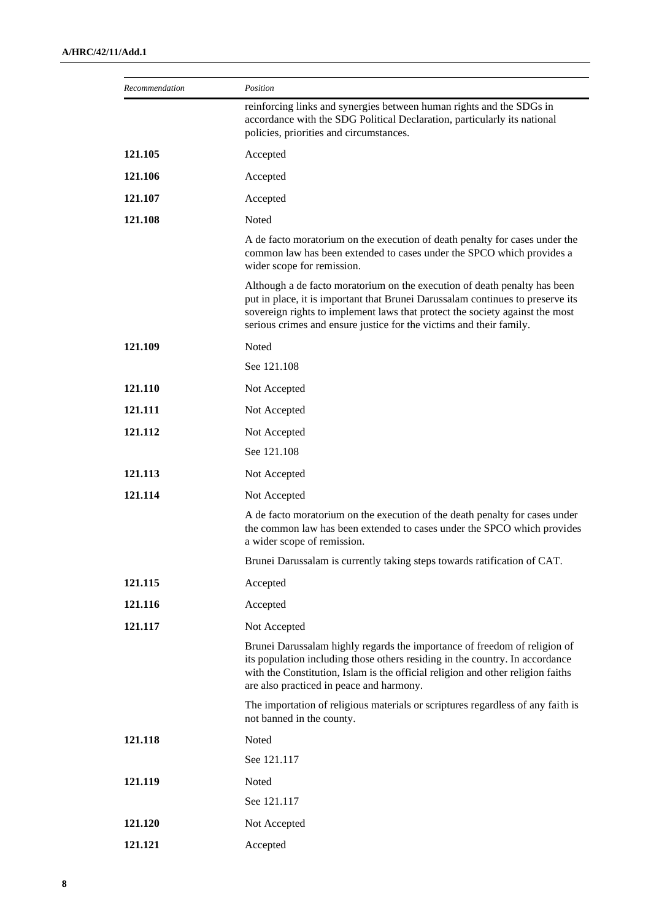| Recommendation | Position                                                                                                                                                                                                                                                                                                           |
|----------------|--------------------------------------------------------------------------------------------------------------------------------------------------------------------------------------------------------------------------------------------------------------------------------------------------------------------|
|                | reinforcing links and synergies between human rights and the SDGs in<br>accordance with the SDG Political Declaration, particularly its national<br>policies, priorities and circumstances.                                                                                                                        |
| 121.105        | Accepted                                                                                                                                                                                                                                                                                                           |
| 121.106        | Accepted                                                                                                                                                                                                                                                                                                           |
| 121.107        | Accepted                                                                                                                                                                                                                                                                                                           |
| 121.108        | Noted                                                                                                                                                                                                                                                                                                              |
|                | A de facto moratorium on the execution of death penalty for cases under the<br>common law has been extended to cases under the SPCO which provides a<br>wider scope for remission.                                                                                                                                 |
|                | Although a de facto moratorium on the execution of death penalty has been<br>put in place, it is important that Brunei Darussalam continues to preserve its<br>sovereign rights to implement laws that protect the society against the most<br>serious crimes and ensure justice for the victims and their family. |
| 121.109        | Noted                                                                                                                                                                                                                                                                                                              |
|                | See 121.108                                                                                                                                                                                                                                                                                                        |
| 121.110        | Not Accepted                                                                                                                                                                                                                                                                                                       |
| 121.111        | Not Accepted                                                                                                                                                                                                                                                                                                       |
| 121.112        | Not Accepted                                                                                                                                                                                                                                                                                                       |
|                | See 121.108                                                                                                                                                                                                                                                                                                        |
| 121.113        | Not Accepted                                                                                                                                                                                                                                                                                                       |
| 121.114        | Not Accepted                                                                                                                                                                                                                                                                                                       |
|                | A de facto moratorium on the execution of the death penalty for cases under<br>the common law has been extended to cases under the SPCO which provides<br>a wider scope of remission.                                                                                                                              |
|                | Brunei Darussalam is currently taking steps towards ratification of CAT.                                                                                                                                                                                                                                           |
| 121.115        | Accepted                                                                                                                                                                                                                                                                                                           |
| 121.116        | Accepted                                                                                                                                                                                                                                                                                                           |
| 121.117        | Not Accepted                                                                                                                                                                                                                                                                                                       |
|                | Brunei Darussalam highly regards the importance of freedom of religion of<br>its population including those others residing in the country. In accordance<br>with the Constitution, Islam is the official religion and other religion faiths<br>are also practiced in peace and harmony.                           |
|                | The importation of religious materials or scriptures regardless of any faith is<br>not banned in the county.                                                                                                                                                                                                       |
| 121.118        | Noted                                                                                                                                                                                                                                                                                                              |
|                | See 121.117                                                                                                                                                                                                                                                                                                        |
| 121.119        | Noted                                                                                                                                                                                                                                                                                                              |
|                | See 121.117                                                                                                                                                                                                                                                                                                        |
| 121.120        | Not Accepted                                                                                                                                                                                                                                                                                                       |
| 121.121        | Accepted                                                                                                                                                                                                                                                                                                           |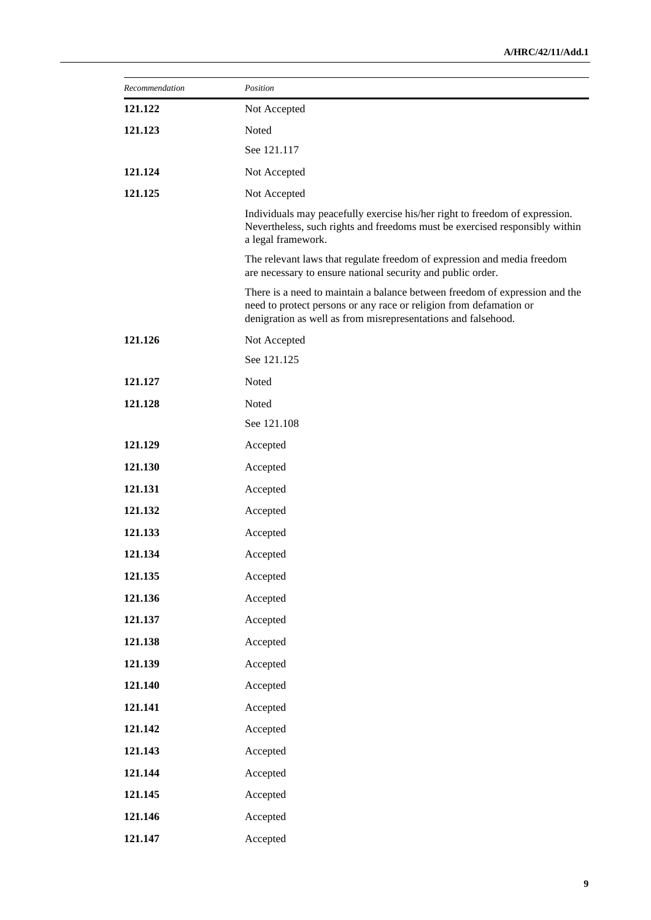| Recommendation | Position                                                                                                                                                                                                           |
|----------------|--------------------------------------------------------------------------------------------------------------------------------------------------------------------------------------------------------------------|
| 121.122        | Not Accepted                                                                                                                                                                                                       |
| 121.123        | Noted                                                                                                                                                                                                              |
|                | See 121.117                                                                                                                                                                                                        |
| 121.124        | Not Accepted                                                                                                                                                                                                       |
| 121.125        | Not Accepted                                                                                                                                                                                                       |
|                | Individuals may peacefully exercise his/her right to freedom of expression.<br>Nevertheless, such rights and freedoms must be exercised responsibly within<br>a legal framework.                                   |
|                | The relevant laws that regulate freedom of expression and media freedom<br>are necessary to ensure national security and public order.                                                                             |
|                | There is a need to maintain a balance between freedom of expression and the<br>need to protect persons or any race or religion from defamation or<br>denigration as well as from misrepresentations and falsehood. |
| 121.126        | Not Accepted                                                                                                                                                                                                       |
|                | See 121.125                                                                                                                                                                                                        |
| 121.127        | Noted                                                                                                                                                                                                              |
| 121.128        | Noted                                                                                                                                                                                                              |
|                | See 121.108                                                                                                                                                                                                        |
| 121.129        | Accepted                                                                                                                                                                                                           |
| 121.130        | Accepted                                                                                                                                                                                                           |
| 121.131        | Accepted                                                                                                                                                                                                           |
| 121.132        | Accepted                                                                                                                                                                                                           |
| 121.133        | Accepted                                                                                                                                                                                                           |
| 121.134        | Accepted                                                                                                                                                                                                           |
| 121.135        | Accepted                                                                                                                                                                                                           |
| 121.136        | Accepted                                                                                                                                                                                                           |
| 121.137        | Accepted                                                                                                                                                                                                           |
| 121.138        | Accepted                                                                                                                                                                                                           |
| 121.139        | Accepted                                                                                                                                                                                                           |
| 121.140        | Accepted                                                                                                                                                                                                           |
| 121.141        | Accepted                                                                                                                                                                                                           |
| 121.142        | Accepted                                                                                                                                                                                                           |
| 121.143        | Accepted                                                                                                                                                                                                           |
| 121.144        | Accepted                                                                                                                                                                                                           |
| 121.145        | Accepted                                                                                                                                                                                                           |
| 121.146        | Accepted                                                                                                                                                                                                           |
| 121.147        | Accepted                                                                                                                                                                                                           |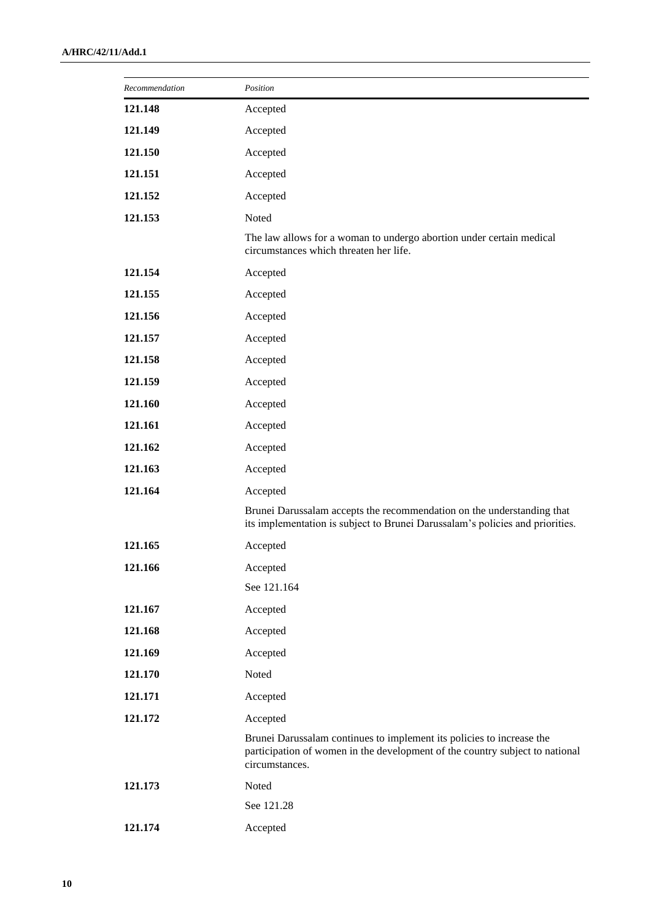| Recommendation | Position                                                                                                                                                                |
|----------------|-------------------------------------------------------------------------------------------------------------------------------------------------------------------------|
| 121.148        | Accepted                                                                                                                                                                |
| 121.149        | Accepted                                                                                                                                                                |
| 121.150        | Accepted                                                                                                                                                                |
| 121.151        | Accepted                                                                                                                                                                |
| 121.152        | Accepted                                                                                                                                                                |
| 121.153        | Noted                                                                                                                                                                   |
|                | The law allows for a woman to undergo abortion under certain medical<br>circumstances which threaten her life.                                                          |
| 121.154        | Accepted                                                                                                                                                                |
| 121.155        | Accepted                                                                                                                                                                |
| 121.156        | Accepted                                                                                                                                                                |
| 121.157        | Accepted                                                                                                                                                                |
| 121.158        | Accepted                                                                                                                                                                |
| 121.159        | Accepted                                                                                                                                                                |
| 121.160        | Accepted                                                                                                                                                                |
| 121.161        | Accepted                                                                                                                                                                |
| 121.162        | Accepted                                                                                                                                                                |
| 121.163        | Accepted                                                                                                                                                                |
| 121.164        | Accepted                                                                                                                                                                |
|                | Brunei Darussalam accepts the recommendation on the understanding that<br>its implementation is subject to Brunei Darussalam's policies and priorities.                 |
| 121.165        | Accepted                                                                                                                                                                |
| 121.166        | Accepted                                                                                                                                                                |
|                | See 121.164                                                                                                                                                             |
| 121.167        | Accepted                                                                                                                                                                |
| 121.168        | Accepted                                                                                                                                                                |
| 121.169        | Accepted                                                                                                                                                                |
| 121.170        | Noted                                                                                                                                                                   |
| 121.171        | Accepted                                                                                                                                                                |
| 121.172        | Accepted                                                                                                                                                                |
|                | Brunei Darussalam continues to implement its policies to increase the<br>participation of women in the development of the country subject to national<br>circumstances. |
| 121.173        | Noted                                                                                                                                                                   |
|                | See 121.28                                                                                                                                                              |
| 121.174        | Accepted                                                                                                                                                                |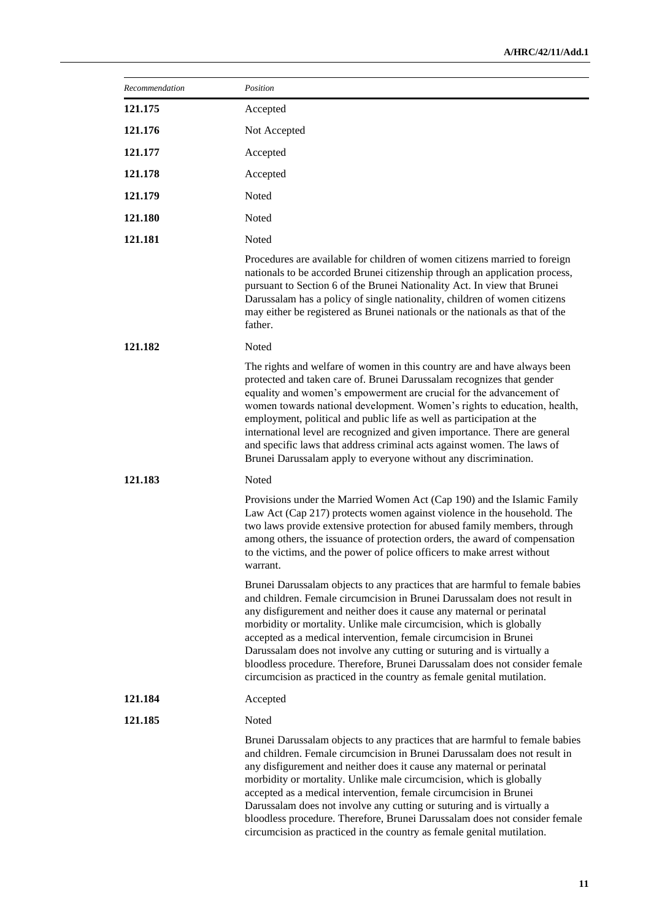| Recommendation | Position                                                                                                                                                                                                                                                                                                                                                                                                                                                                                                                                                                                                         |
|----------------|------------------------------------------------------------------------------------------------------------------------------------------------------------------------------------------------------------------------------------------------------------------------------------------------------------------------------------------------------------------------------------------------------------------------------------------------------------------------------------------------------------------------------------------------------------------------------------------------------------------|
| 121.175        | Accepted                                                                                                                                                                                                                                                                                                                                                                                                                                                                                                                                                                                                         |
| 121.176        | Not Accepted                                                                                                                                                                                                                                                                                                                                                                                                                                                                                                                                                                                                     |
| 121.177        | Accepted                                                                                                                                                                                                                                                                                                                                                                                                                                                                                                                                                                                                         |
| 121.178        | Accepted                                                                                                                                                                                                                                                                                                                                                                                                                                                                                                                                                                                                         |
| 121.179        | Noted                                                                                                                                                                                                                                                                                                                                                                                                                                                                                                                                                                                                            |
| 121.180        | Noted                                                                                                                                                                                                                                                                                                                                                                                                                                                                                                                                                                                                            |
| 121.181        | Noted                                                                                                                                                                                                                                                                                                                                                                                                                                                                                                                                                                                                            |
|                | Procedures are available for children of women citizens married to foreign<br>nationals to be accorded Brunei citizenship through an application process,<br>pursuant to Section 6 of the Brunei Nationality Act. In view that Brunei<br>Darussalam has a policy of single nationality, children of women citizens<br>may either be registered as Brunei nationals or the nationals as that of the<br>father.                                                                                                                                                                                                    |
| 121.182        | Noted                                                                                                                                                                                                                                                                                                                                                                                                                                                                                                                                                                                                            |
|                | The rights and welfare of women in this country are and have always been<br>protected and taken care of. Brunei Darussalam recognizes that gender<br>equality and women's empowerment are crucial for the advancement of<br>women towards national development. Women's rights to education, health,<br>employment, political and public life as well as participation at the<br>international level are recognized and given importance. There are general<br>and specific laws that address criminal acts against women. The laws of<br>Brunei Darussalam apply to everyone without any discrimination.        |
| 121.183        | Noted                                                                                                                                                                                                                                                                                                                                                                                                                                                                                                                                                                                                            |
|                | Provisions under the Married Women Act (Cap 190) and the Islamic Family<br>Law Act (Cap 217) protects women against violence in the household. The<br>two laws provide extensive protection for abused family members, through<br>among others, the issuance of protection orders, the award of compensation<br>to the victims, and the power of police officers to make arrest without<br>warrant.                                                                                                                                                                                                              |
|                | Brunei Darussalam objects to any practices that are harmful to female babies<br>and children. Female circumcision in Brunei Darussalam does not result in<br>any disfigurement and neither does it cause any maternal or perinatal<br>morbidity or mortality. Unlike male circumcision, which is globally<br>accepted as a medical intervention, female circumcision in Brunei<br>Darussalam does not involve any cutting or suturing and is virtually a<br>bloodless procedure. Therefore, Brunei Darussalam does not consider female<br>circumcision as practiced in the country as female genital mutilation. |
| 121.184        | Accepted                                                                                                                                                                                                                                                                                                                                                                                                                                                                                                                                                                                                         |
| 121.185        | Noted                                                                                                                                                                                                                                                                                                                                                                                                                                                                                                                                                                                                            |
|                | Brunei Darussalam objects to any practices that are harmful to female babies<br>and children. Female circumcision in Brunei Darussalam does not result in<br>any disfigurement and neither does it cause any maternal or perinatal<br>morbidity or mortality. Unlike male circumcision, which is globally<br>accepted as a medical intervention, female circumcision in Brunei<br>Darussalam does not involve any cutting or suturing and is virtually a<br>bloodless procedure. Therefore, Brunei Darussalam does not consider female<br>circumcision as practiced in the country as female genital mutilation. |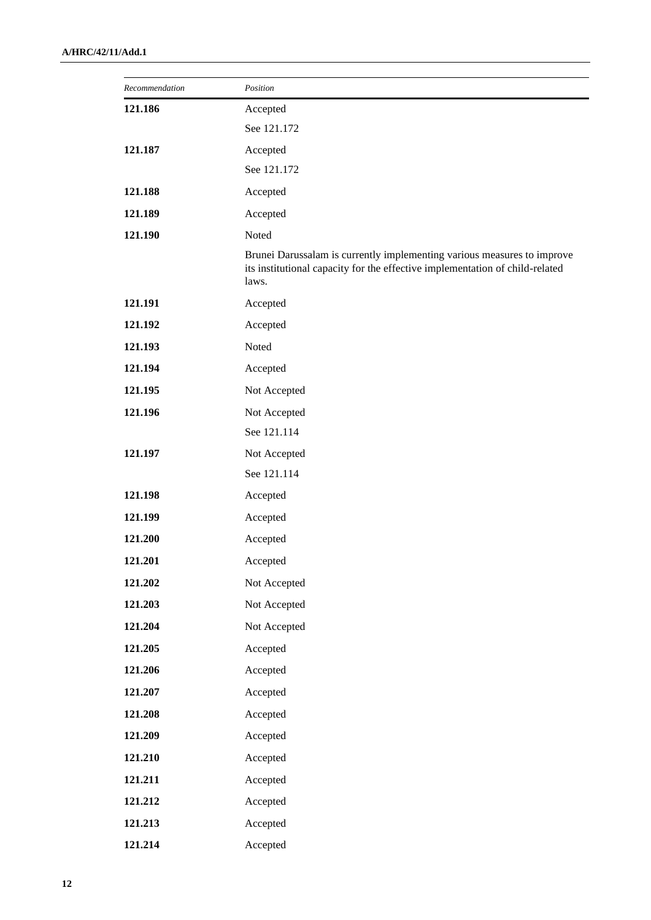| Recommendation | Position                                                                                                                                                         |
|----------------|------------------------------------------------------------------------------------------------------------------------------------------------------------------|
| 121.186        | Accepted                                                                                                                                                         |
|                | See 121.172                                                                                                                                                      |
| 121.187        | Accepted                                                                                                                                                         |
|                | See 121.172                                                                                                                                                      |
| 121.188        | Accepted                                                                                                                                                         |
| 121.189        | Accepted                                                                                                                                                         |
| 121.190        | Noted                                                                                                                                                            |
|                | Brunei Darussalam is currently implementing various measures to improve<br>its institutional capacity for the effective implementation of child-related<br>laws. |
| 121.191        | Accepted                                                                                                                                                         |
| 121.192        | Accepted                                                                                                                                                         |
| 121.193        | Noted                                                                                                                                                            |
| 121.194        | Accepted                                                                                                                                                         |
| 121.195        | Not Accepted                                                                                                                                                     |
| 121.196        | Not Accepted                                                                                                                                                     |
|                | See 121.114                                                                                                                                                      |
| 121.197        | Not Accepted                                                                                                                                                     |
|                | See 121.114                                                                                                                                                      |
| 121.198        | Accepted                                                                                                                                                         |
| 121.199        | Accepted                                                                                                                                                         |
| 121.200        | Accepted                                                                                                                                                         |
| 121.201        | Accepted                                                                                                                                                         |
| 121.202        | Not Accepted                                                                                                                                                     |
| 121.203        | Not Accepted                                                                                                                                                     |
| 121.204        | Not Accepted                                                                                                                                                     |
| 121.205        | Accepted                                                                                                                                                         |
| 121.206        | Accepted                                                                                                                                                         |
| 121.207        | Accepted                                                                                                                                                         |
| 121.208        | Accepted                                                                                                                                                         |
| 121.209        | Accepted                                                                                                                                                         |
| 121.210        | Accepted                                                                                                                                                         |
| 121.211        | Accepted                                                                                                                                                         |
| 121.212        | Accepted                                                                                                                                                         |
| 121.213        | Accepted                                                                                                                                                         |
| 121.214        | Accepted                                                                                                                                                         |